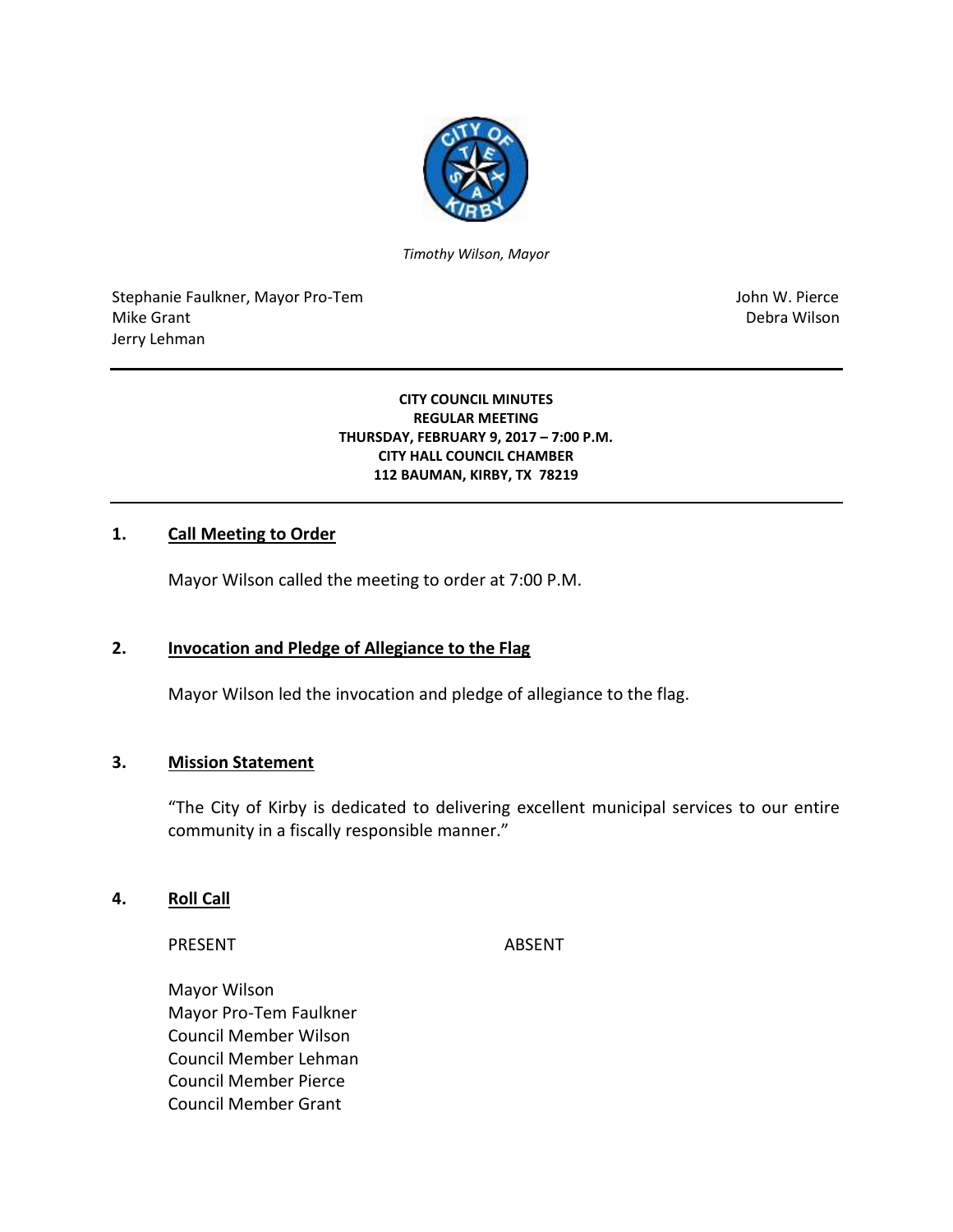

*Timothy Wilson, Mayor*

Stephanie Faulkner, Mayor Pro-Tem John W. Pierce Mike Grant **Debra Wilson** Jerry Lehman

#### **CITY COUNCIL MINUTES REGULAR MEETING THURSDAY, FEBRUARY 9, 2017 – 7:00 P.M. CITY HALL COUNCIL CHAMBER 112 BAUMAN, KIRBY, TX 78219**

### **1. Call Meeting to Order**

Mayor Wilson called the meeting to order at 7:00 P.M.

## **2. Invocation and Pledge of Allegiance to the Flag**

Mayor Wilson led the invocation and pledge of allegiance to the flag.

### **3. Mission Statement**

"The City of Kirby is dedicated to delivering excellent municipal services to our entire community in a fiscally responsible manner."

#### **4. Roll Call**

PRESENT ABSENT

Mayor Wilson Mayor Pro-Tem Faulkner Council Member Wilson Council Member Lehman Council Member Pierce Council Member Grant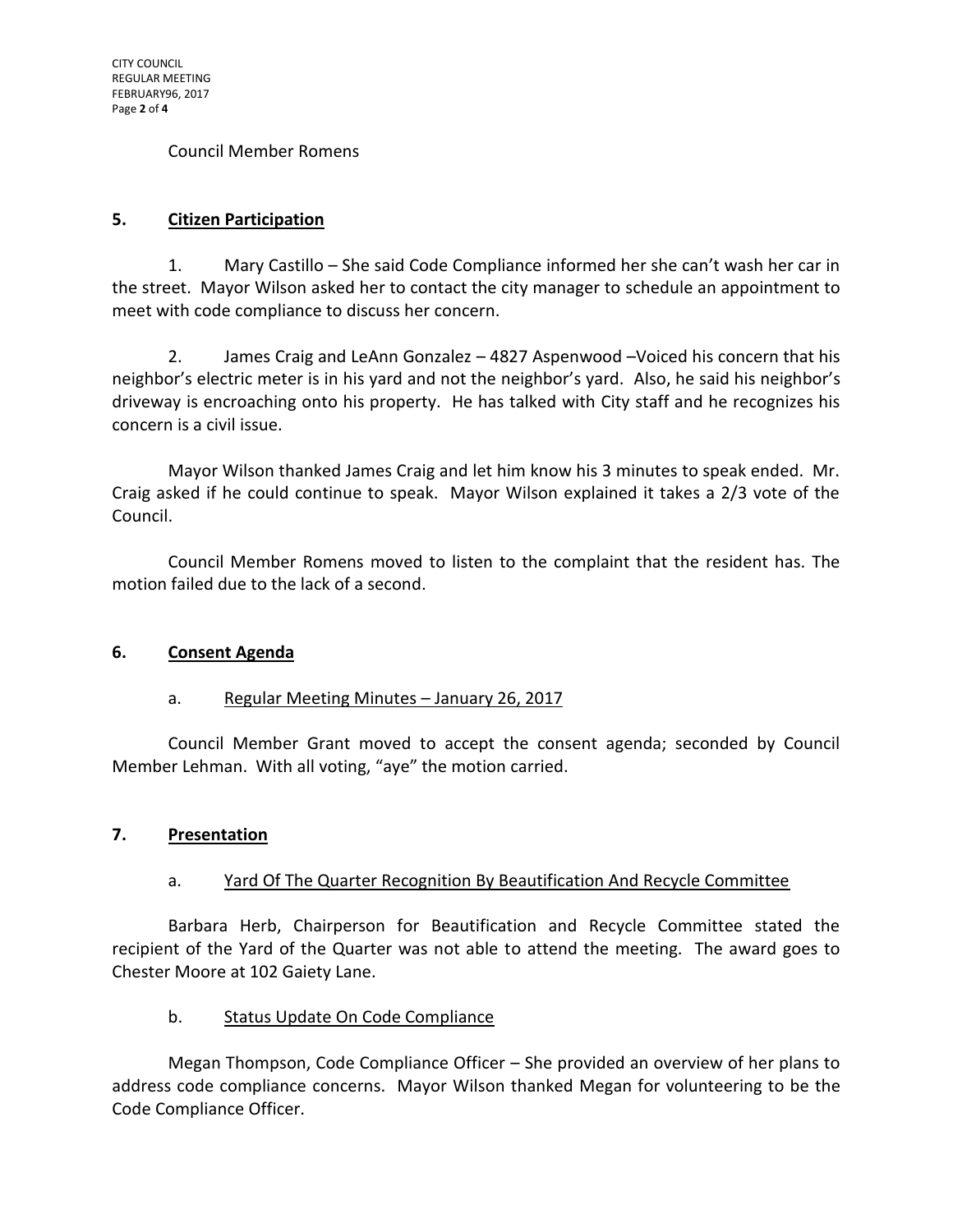### Council Member Romens

## **5. Citizen Participation**

1. Mary Castillo – She said Code Compliance informed her she can't wash her car in the street. Mayor Wilson asked her to contact the city manager to schedule an appointment to meet with code compliance to discuss her concern.

2. James Craig and LeAnn Gonzalez – 4827 Aspenwood –Voiced his concern that his neighbor's electric meter is in his yard and not the neighbor's yard. Also, he said his neighbor's driveway is encroaching onto his property. He has talked with City staff and he recognizes his concern is a civil issue.

Mayor Wilson thanked James Craig and let him know his 3 minutes to speak ended. Mr. Craig asked if he could continue to speak. Mayor Wilson explained it takes a 2/3 vote of the Council.

Council Member Romens moved to listen to the complaint that the resident has. The motion failed due to the lack of a second.

### **6. Consent Agenda**

### a. Regular Meeting Minutes - January 26, 2017

Council Member Grant moved to accept the consent agenda; seconded by Council Member Lehman. With all voting, "aye" the motion carried.

### **7. Presentation**

# a. Yard Of The Quarter Recognition By Beautification And Recycle Committee

Barbara Herb, Chairperson for Beautification and Recycle Committee stated the recipient of the Yard of the Quarter was not able to attend the meeting. The award goes to Chester Moore at 102 Gaiety Lane.

### b. Status Update On Code Compliance

Megan Thompson, Code Compliance Officer – She provided an overview of her plans to address code compliance concerns. Mayor Wilson thanked Megan for volunteering to be the Code Compliance Officer.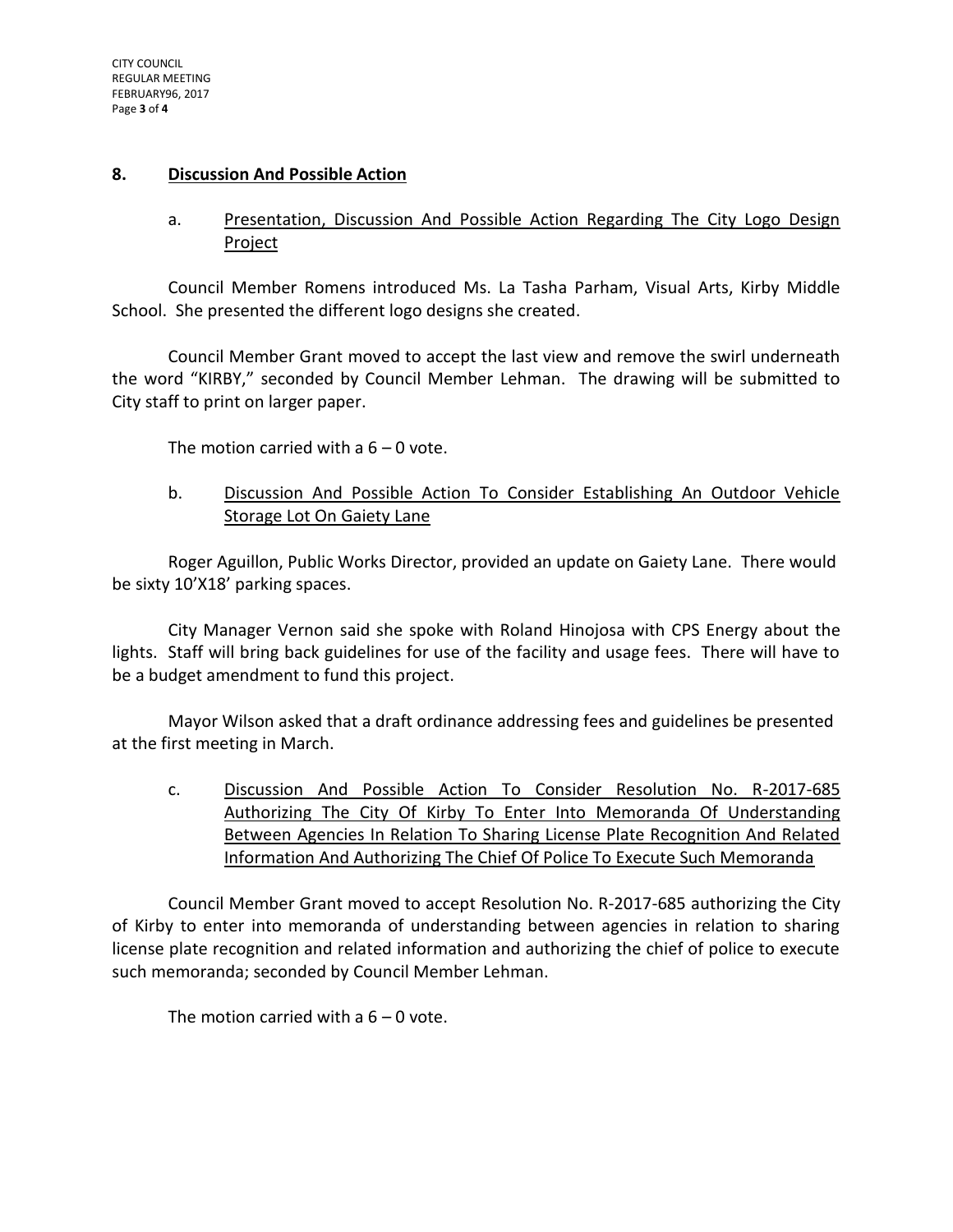### **8. Discussion And Possible Action**

a. Presentation, Discussion And Possible Action Regarding The City Logo Design Project

Council Member Romens introduced Ms. La Tasha Parham, Visual Arts, Kirby Middle School. She presented the different logo designs she created.

Council Member Grant moved to accept the last view and remove the swirl underneath the word "KIRBY," seconded by Council Member Lehman. The drawing will be submitted to City staff to print on larger paper.

The motion carried with a  $6 - 0$  vote.

b. Discussion And Possible Action To Consider Establishing An Outdoor Vehicle Storage Lot On Gaiety Lane

Roger Aguillon, Public Works Director, provided an update on Gaiety Lane. There would be sixty 10'X18' parking spaces.

City Manager Vernon said she spoke with Roland Hinojosa with CPS Energy about the lights. Staff will bring back guidelines for use of the facility and usage fees. There will have to be a budget amendment to fund this project.

Mayor Wilson asked that a draft ordinance addressing fees and guidelines be presented at the first meeting in March.

c. Discussion And Possible Action To Consider Resolution No. R-2017-685 Authorizing The City Of Kirby To Enter Into Memoranda Of Understanding Between Agencies In Relation To Sharing License Plate Recognition And Related Information And Authorizing The Chief Of Police To Execute Such Memoranda

Council Member Grant moved to accept Resolution No. R-2017-685 authorizing the City of Kirby to enter into memoranda of understanding between agencies in relation to sharing license plate recognition and related information and authorizing the chief of police to execute such memoranda; seconded by Council Member Lehman.

The motion carried with a  $6 - 0$  vote.